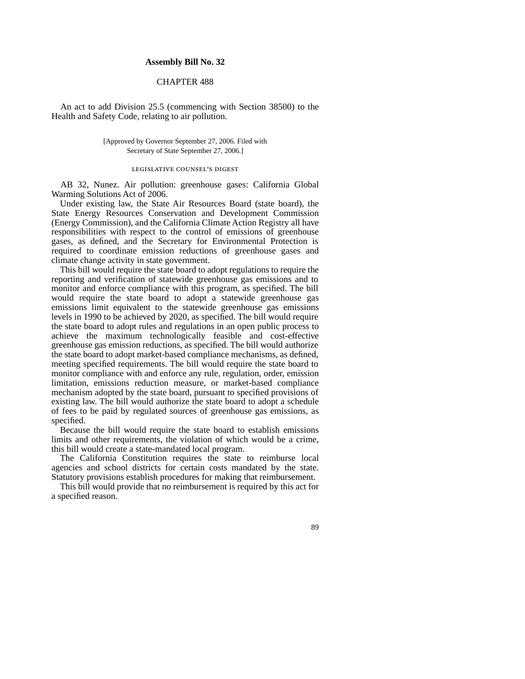### **Assembly Bill No. 32**

## CHAPTER 488

An act to add Division 25.5 (commencing with Section 38500) to the Health and Safety Code, relating to air pollution.

> [Approved by Governor September 27, 2006. Filed with Secretary of State September 27, 2006.]

#### legislative counsel's digest

AB 32, Nunez. Air pollution: greenhouse gases: California Global Warming Solutions Act of 2006.

Under existing law, the State Air Resources Board (state board), the State Energy Resources Conservation and Development Commission (Energy Commission), and the California Climate Action Registry all have responsibilities with respect to the control of emissions of greenhouse gases, as defined, and the Secretary for Environmental Protection is required to coordinate emission reductions of greenhouse gases and climate change activity in state government.

This bill would require the state board to adopt regulations to require the reporting and verification of statewide greenhouse gas emissions and to monitor and enforce compliance with this program, as specified. The bill would require the state board to adopt a statewide greenhouse gas emissions limit equivalent to the statewide greenhouse gas emissions levels in 1990 to be achieved by 2020, as specified. The bill would require the state board to adopt rules and regulations in an open public process to achieve the maximum technologically feasible and cost-effective greenhouse gas emission reductions, as specified. The bill would authorize the state board to adopt market-based compliance mechanisms, as defined, meeting specified requirements. The bill would require the state board to monitor compliance with and enforce any rule, regulation, order, emission limitation, emissions reduction measure, or market-based compliance mechanism adopted by the state board, pursuant to specified provisions of existing law. The bill would authorize the state board to adopt a schedule of fees to be paid by regulated sources of greenhouse gas emissions, as specified.

Because the bill would require the state board to establish emissions limits and other requirements, the violation of which would be a crime, this bill would create a state-mandated local program.

The California Constitution requires the state to reimburse local agencies and school districts for certain costs mandated by the state. Statutory provisions establish procedures for making that reimbursement.

This bill would provide that no reimbursement is required by this act for a specified reason.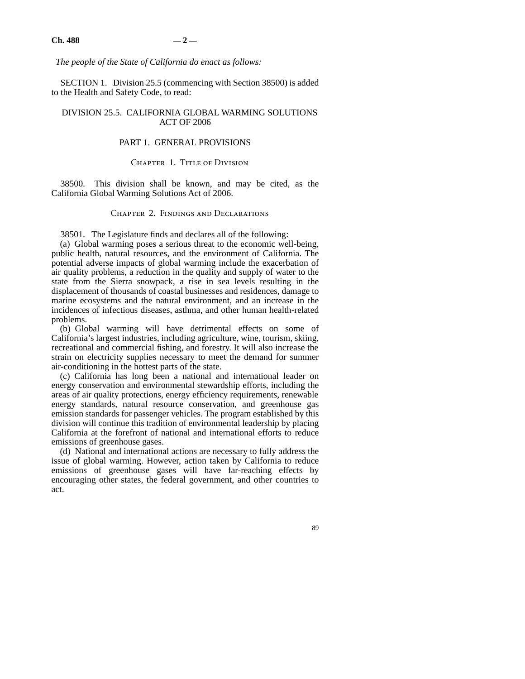*The people of the State of California do enact as follows:*

SECTION 1. Division 25.5 (commencing with Section 38500) is added to the Health and Safety Code, to read:

### DIVISION 25.5. CALIFORNIA GLOBAL WARMING SOLUTIONS ACT OF 2006

# PART 1. GENERAL PROVISIONS

### CHAPTER 1. TITLE OF DIVISION

38500. This division shall be known, and may be cited, as the California Global Warming Solutions Act of 2006.

### Chapter 2. Findings and Declarations

38501. The Legislature finds and declares all of the following:

(a) Global warming poses a serious threat to the economic well-being, public health, natural resources, and the environment of California. The potential adverse impacts of global warming include the exacerbation of air quality problems, a reduction in the quality and supply of water to the state from the Sierra snowpack, a rise in sea levels resulting in the displacement of thousands of coastal businesses and residences, damage to marine ecosystems and the natural environment, and an increase in the incidences of infectious diseases, asthma, and other human health-related problems.

(b) Global warming will have detrimental effects on some of California's largest industries, including agriculture, wine, tourism, skiing, recreational and commercial fishing, and forestry. It will also increase the strain on electricity supplies necessary to meet the demand for summer air-conditioning in the hottest parts of the state.

(c) California has long been a national and international leader on energy conservation and environmental stewardship efforts, including the areas of air quality protections, energy efficiency requirements, renewable energy standards, natural resource conservation, and greenhouse gas emission standards for passenger vehicles. The program established by this division will continue this tradition of environmental leadership by placing California at the forefront of national and international efforts to reduce emissions of greenhouse gases.

(d) National and international actions are necessary to fully address the issue of global warming. However, action taken by California to reduce emissions of greenhouse gases will have far-reaching effects by encouraging other states, the federal government, and other countries to act.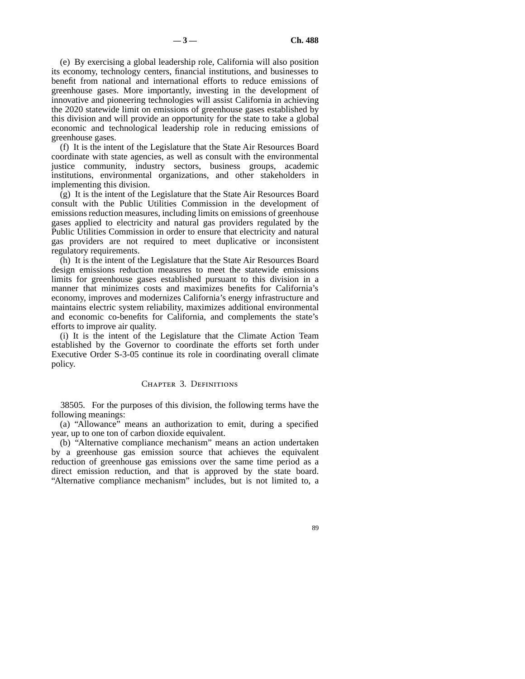(e) By exercising a global leadership role, California will also position its economy, technology centers, financial institutions, and businesses to benefit from national and international efforts to reduce emissions of greenhouse gases. More importantly, investing in the development of innovative and pioneering technologies will assist California in achieving the 2020 statewide limit on emissions of greenhouse gases established by this division and will provide an opportunity for the state to take a global economic and technological leadership role in reducing emissions of greenhouse gases.

(f) It is the intent of the Legislature that the State Air Resources Board coordinate with state agencies, as well as consult with the environmental justice community, industry sectors, business groups, academic institutions, environmental organizations, and other stakeholders in implementing this division.

(g) It is the intent of the Legislature that the State Air Resources Board consult with the Public Utilities Commission in the development of emissions reduction measures, including limits on emissions of greenhouse gases applied to electricity and natural gas providers regulated by the Public Utilities Commission in order to ensure that electricity and natural gas providers are not required to meet duplicative or inconsistent regulatory requirements.

(h) It is the intent of the Legislature that the State Air Resources Board design emissions reduction measures to meet the statewide emissions limits for greenhouse gases established pursuant to this division in a manner that minimizes costs and maximizes benefits for California's economy, improves and modernizes California's energy infrastructure and maintains electric system reliability, maximizes additional environmental and economic co-benefits for California, and complements the state's efforts to improve air quality.

(i) It is the intent of the Legislature that the Climate Action Team established by the Governor to coordinate the efforts set forth under Executive Order S-3-05 continue its role in coordinating overall climate policy.

### CHAPTER 3. DEFINITIONS

38505. For the purposes of this division, the following terms have the following meanings:

(a) "Allowance" means an authorization to emit, during a specified year, up to one ton of carbon dioxide equivalent.

(b) "Alternative compliance mechanism" means an action undertaken by a greenhouse gas emission source that achieves the equivalent reduction of greenhouse gas emissions over the same time period as a direct emission reduction, and that is approved by the state board. "Alternative compliance mechanism" includes, but is not limited to, a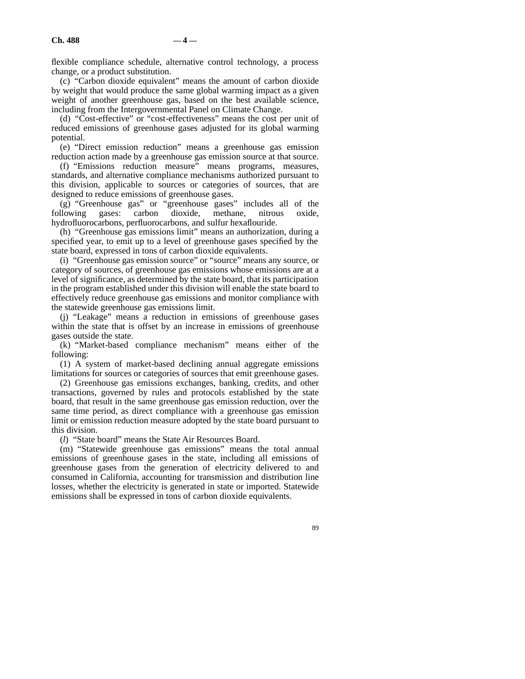flexible compliance schedule, alternative control technology, a process change, or a product substitution.

(c) "Carbon dioxide equivalent" means the amount of carbon dioxide by weight that would produce the same global warming impact as a given weight of another greenhouse gas, based on the best available science, including from the Intergovernmental Panel on Climate Change.

(d) "Cost-effective" or "cost-effectiveness" means the cost per unit of reduced emissions of greenhouse gases adjusted for its global warming potential.

(e) "Direct emission reduction" means a greenhouse gas emission reduction action made by a greenhouse gas emission source at that source.

(f) "Emissions reduction measure" means programs, measures, standards, and alternative compliance mechanisms authorized pursuant to this division, applicable to sources or categories of sources, that are designed to reduce emissions of greenhouse gases.

 $(g)$  "Greenhouse gas" or "greenhouse gases" includes all of the following gases: carbon dioxide, methane, nitrous oxide, gases: carbon dioxide, methane, nitrous oxide, hydrofluorocarbons, perfluorocarbons, and sulfur hexaflouride.

(h) "Greenhouse gas emissions limit" means an authorization, during a specified year, to emit up to a level of greenhouse gases specified by the state board, expressed in tons of carbon dioxide equivalents.

(i) "Greenhouse gas emission source" or "source" means any source, or category of sources, of greenhouse gas emissions whose emissions are at a level of significance, as determined by the state board, that its participation in the program established under this division will enable the state board to effectively reduce greenhouse gas emissions and monitor compliance with the statewide greenhouse gas emissions limit.

(j) "Leakage" means a reduction in emissions of greenhouse gases within the state that is offset by an increase in emissions of greenhouse gases outside the state.

(k) "Market-based compliance mechanism" means either of the following:

(1) A system of market-based declining annual aggregate emissions limitations for sources or categories of sources that emit greenhouse gases.

(2) Greenhouse gas emissions exchanges, banking, credits, and other transactions, governed by rules and protocols established by the state board, that result in the same greenhouse gas emission reduction, over the same time period, as direct compliance with a greenhouse gas emission limit or emission reduction measure adopted by the state board pursuant to this division.

(*l*) "State board" means the State Air Resources Board.

(m) "Statewide greenhouse gas emissions" means the total annual emissions of greenhouse gases in the state, including all emissions of greenhouse gases from the generation of electricity delivered to and consumed in California, accounting for transmission and distribution line losses, whether the electricity is generated in state or imported. Statewide emissions shall be expressed in tons of carbon dioxide equivalents.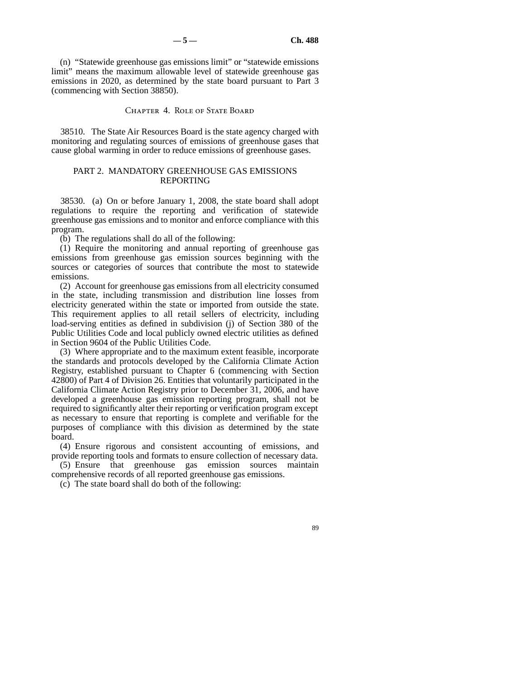(n) "Statewide greenhouse gas emissions limit" or "statewide emissions limit" means the maximum allowable level of statewide greenhouse gas emissions in 2020, as determined by the state board pursuant to Part 3 (commencing with Section 38850).

#### CHAPTER 4. ROLE OF STATE BOARD

38510. The State Air Resources Board is the state agency charged with monitoring and regulating sources of emissions of greenhouse gases that cause global warming in order to reduce emissions of greenhouse gases.

## PART 2. MANDATORY GREENHOUSE GAS EMISSIONS REPORTING

38530. (a) On or before January 1, 2008, the state board shall adopt regulations to require the reporting and verification of statewide greenhouse gas emissions and to monitor and enforce compliance with this program.

(b) The regulations shall do all of the following:

(1) Require the monitoring and annual reporting of greenhouse gas emissions from greenhouse gas emission sources beginning with the sources or categories of sources that contribute the most to statewide emissions.

(2) Account for greenhouse gas emissions from all electricity consumed in the state, including transmission and distribution line losses from electricity generated within the state or imported from outside the state. This requirement applies to all retail sellers of electricity, including load-serving entities as defined in subdivision (j) of Section 380 of the Public Utilities Code and local publicly owned electric utilities as defined in Section 9604 of the Public Utilities Code.

(3) Where appropriate and to the maximum extent feasible, incorporate the standards and protocols developed by the California Climate Action Registry, established pursuant to Chapter 6 (commencing with Section 42800) of Part 4 of Division 26. Entities that voluntarily participated in the California Climate Action Registry prior to December 31, 2006, and have developed a greenhouse gas emission reporting program, shall not be required to significantly alter their reporting or verification program except as necessary to ensure that reporting is complete and verifiable for the purposes of compliance with this division as determined by the state board.

(4) Ensure rigorous and consistent accounting of emissions, and provide reporting tools and formats to ensure collection of necessary data.

(5) Ensure that greenhouse gas emission sources maintain comprehensive records of all reported greenhouse gas emissions.

(c) The state board shall do both of the following: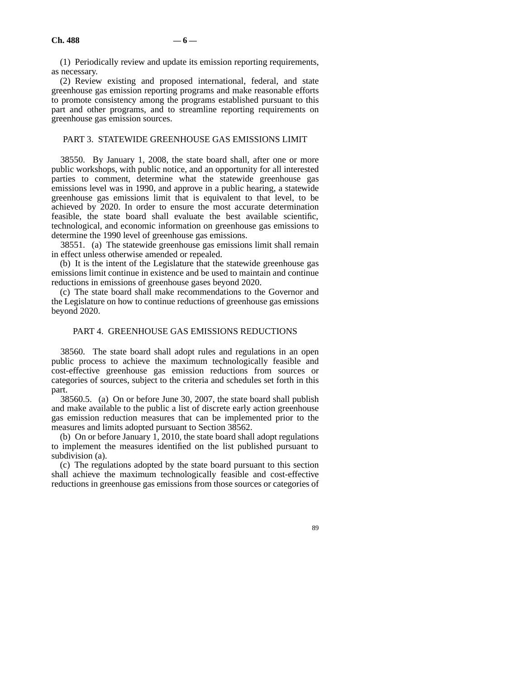(1) Periodically review and update its emission reporting requirements, as necessary.

(2) Review existing and proposed international, federal, and state greenhouse gas emission reporting programs and make reasonable efforts to promote consistency among the programs established pursuant to this part and other programs, and to streamline reporting requirements on greenhouse gas emission sources.

### PART 3. STATEWIDE GREENHOUSE GAS EMISSIONS LIMIT

38550. By January 1, 2008, the state board shall, after one or more public workshops, with public notice, and an opportunity for all interested parties to comment, determine what the statewide greenhouse gas emissions level was in 1990, and approve in a public hearing, a statewide greenhouse gas emissions limit that is equivalent to that level, to be achieved by 2020. In order to ensure the most accurate determination feasible, the state board shall evaluate the best available scientific, technological, and economic information on greenhouse gas emissions to determine the 1990 level of greenhouse gas emissions.

38551. (a) The statewide greenhouse gas emissions limit shall remain in effect unless otherwise amended or repealed.

(b) It is the intent of the Legislature that the statewide greenhouse gas emissions limit continue in existence and be used to maintain and continue reductions in emissions of greenhouse gases beyond 2020.

(c) The state board shall make recommendations to the Governor and the Legislature on how to continue reductions of greenhouse gas emissions beyond 2020.

### PART 4. GREENHOUSE GAS EMISSIONS REDUCTIONS

38560. The state board shall adopt rules and regulations in an open public process to achieve the maximum technologically feasible and cost-effective greenhouse gas emission reductions from sources or categories of sources, subject to the criteria and schedules set forth in this part.

38560.5. (a) On or before June 30, 2007, the state board shall publish and make available to the public a list of discrete early action greenhouse gas emission reduction measures that can be implemented prior to the measures and limits adopted pursuant to Section 38562.

(b) On or before January 1, 2010, the state board shall adopt regulations to implement the measures identified on the list published pursuant to subdivision (a).

(c) The regulations adopted by the state board pursuant to this section shall achieve the maximum technologically feasible and cost-effective reductions in greenhouse gas emissions from those sources or categories of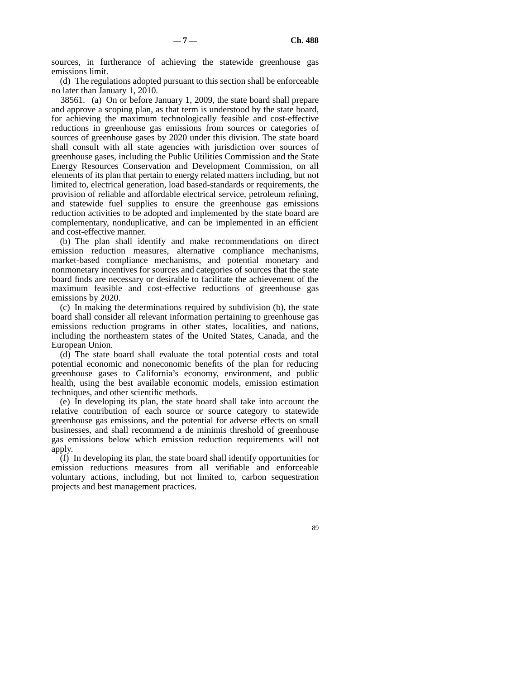sources, in furtherance of achieving the statewide greenhouse gas emissions limit.

(d) The regulations adopted pursuant to this section shall be enforceable no later than January 1, 2010.

38561. (a) On or before January 1, 2009, the state board shall prepare and approve a scoping plan, as that term is understood by the state board, for achieving the maximum technologically feasible and cost-effective reductions in greenhouse gas emissions from sources or categories of sources of greenhouse gases by 2020 under this division. The state board shall consult with all state agencies with jurisdiction over sources of greenhouse gases, including the Public Utilities Commission and the State Energy Resources Conservation and Development Commission, on all elements of its plan that pertain to energy related matters including, but not limited to, electrical generation, load based-standards or requirements, the provision of reliable and affordable electrical service, petroleum refining, and statewide fuel supplies to ensure the greenhouse gas emissions reduction activities to be adopted and implemented by the state board are complementary, nonduplicative, and can be implemented in an efficient and cost-effective manner.

(b) The plan shall identify and make recommendations on direct emission reduction measures, alternative compliance mechanisms, market-based compliance mechanisms, and potential monetary and nonmonetary incentives for sources and categories of sources that the state board finds are necessary or desirable to facilitate the achievement of the maximum feasible and cost-effective reductions of greenhouse gas emissions by 2020.

(c) In making the determinations required by subdivision (b), the state board shall consider all relevant information pertaining to greenhouse gas emissions reduction programs in other states, localities, and nations, including the northeastern states of the United States, Canada, and the European Union.

(d) The state board shall evaluate the total potential costs and total potential economic and noneconomic benefits of the plan for reducing greenhouse gases to California's economy, environment, and public health, using the best available economic models, emission estimation techniques, and other scientific methods.

(e) In developing its plan, the state board shall take into account the relative contribution of each source or source category to statewide greenhouse gas emissions, and the potential for adverse effects on small businesses, and shall recommend a de minimis threshold of greenhouse gas emissions below which emission reduction requirements will not apply.

(f) In developing its plan, the state board shall identify opportunities for emission reductions measures from all verifiable and enforceable voluntary actions, including, but not limited to, carbon sequestration projects and best management practices.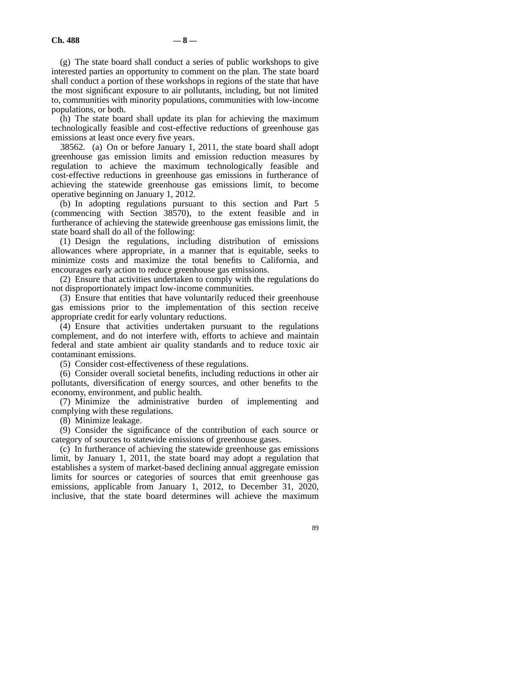(g) The state board shall conduct a series of public workshops to give interested parties an opportunity to comment on the plan. The state board shall conduct a portion of these workshops in regions of the state that have the most significant exposure to air pollutants, including, but not limited to, communities with minority populations, communities with low-income populations, or both.

(h) The state board shall update its plan for achieving the maximum technologically feasible and cost-effective reductions of greenhouse gas emissions at least once every five years.

38562. (a) On or before January 1, 2011, the state board shall adopt greenhouse gas emission limits and emission reduction measures by regulation to achieve the maximum technologically feasible and cost-effective reductions in greenhouse gas emissions in furtherance of achieving the statewide greenhouse gas emissions limit, to become operative beginning on January 1, 2012.

(b) In adopting regulations pursuant to this section and Part 5 (commencing with Section 38570), to the extent feasible and in furtherance of achieving the statewide greenhouse gas emissions limit, the state board shall do all of the following:

(1) Design the regulations, including distribution of emissions allowances where appropriate, in a manner that is equitable, seeks to minimize costs and maximize the total benefits to California, and encourages early action to reduce greenhouse gas emissions.

(2) Ensure that activities undertaken to comply with the regulations do not disproportionately impact low-income communities.

(3) Ensure that entities that have voluntarily reduced their greenhouse gas emissions prior to the implementation of this section receive appropriate credit for early voluntary reductions.

(4) Ensure that activities undertaken pursuant to the regulations complement, and do not interfere with, efforts to achieve and maintain federal and state ambient air quality standards and to reduce toxic air contaminant emissions.

(5) Consider cost-effectiveness of these regulations.

(6) Consider overall societal benefits, including reductions in other air pollutants, diversification of energy sources, and other benefits to the economy, environment, and public health.

(7) Minimize the administrative burden of implementing and complying with these regulations.

(8) Minimize leakage.

(9) Consider the significance of the contribution of each source or category of sources to statewide emissions of greenhouse gases.

(c) In furtherance of achieving the statewide greenhouse gas emissions limit, by January 1, 2011, the state board may adopt a regulation that establishes a system of market-based declining annual aggregate emission limits for sources or categories of sources that emit greenhouse gas emissions, applicable from January 1, 2012, to December 31, 2020, inclusive, that the state board determines will achieve the maximum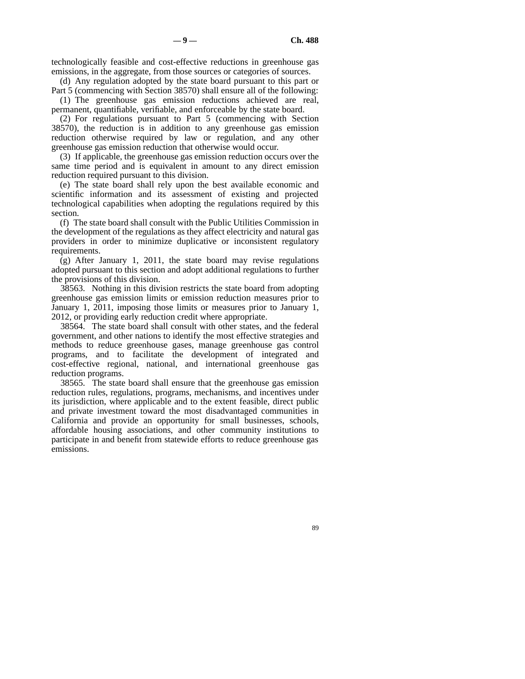technologically feasible and cost-effective reductions in greenhouse gas emissions, in the aggregate, from those sources or categories of sources.

(d) Any regulation adopted by the state board pursuant to this part or Part 5 (commencing with Section 38570) shall ensure all of the following:

(1) The greenhouse gas emission reductions achieved are real, permanent, quantifiable, verifiable, and enforceable by the state board.

(2) For regulations pursuant to Part 5 (commencing with Section 38570), the reduction is in addition to any greenhouse gas emission reduction otherwise required by law or regulation, and any other greenhouse gas emission reduction that otherwise would occur.

(3) If applicable, the greenhouse gas emission reduction occurs over the same time period and is equivalent in amount to any direct emission reduction required pursuant to this division.

(e) The state board shall rely upon the best available economic and scientific information and its assessment of existing and projected technological capabilities when adopting the regulations required by this section.

(f) The state board shall consult with the Public Utilities Commission in the development of the regulations as they affect electricity and natural gas providers in order to minimize duplicative or inconsistent regulatory requirements.

(g) After January 1, 2011, the state board may revise regulations adopted pursuant to this section and adopt additional regulations to further the provisions of this division.

38563. Nothing in this division restricts the state board from adopting greenhouse gas emission limits or emission reduction measures prior to January 1, 2011, imposing those limits or measures prior to January 1, 2012, or providing early reduction credit where appropriate.

38564. The state board shall consult with other states, and the federal government, and other nations to identify the most effective strategies and methods to reduce greenhouse gases, manage greenhouse gas control programs, and to facilitate the development of integrated and cost-effective regional, national, and international greenhouse gas reduction programs.

38565. The state board shall ensure that the greenhouse gas emission reduction rules, regulations, programs, mechanisms, and incentives under its jurisdiction, where applicable and to the extent feasible, direct public and private investment toward the most disadvantaged communities in California and provide an opportunity for small businesses, schools, affordable housing associations, and other community institutions to participate in and benefit from statewide efforts to reduce greenhouse gas emissions.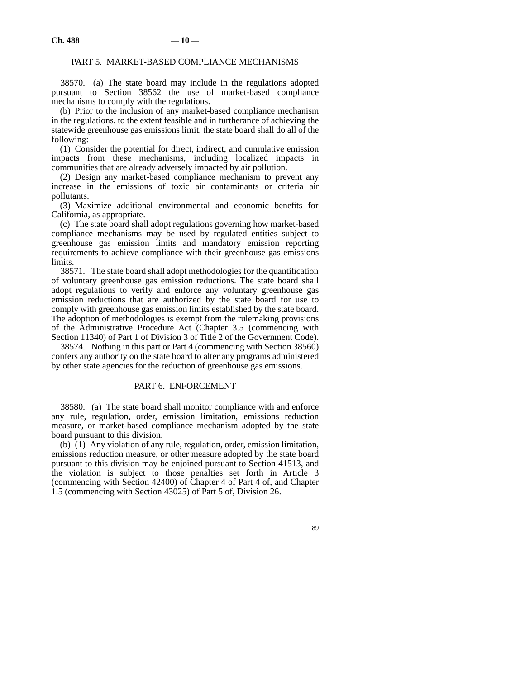### PART 5. MARKET-BASED COMPLIANCE MECHANISMS

38570. (a) The state board may include in the regulations adopted pursuant to Section 38562 the use of market-based compliance mechanisms to comply with the regulations.

(b) Prior to the inclusion of any market-based compliance mechanism in the regulations, to the extent feasible and in furtherance of achieving the statewide greenhouse gas emissions limit, the state board shall do all of the following:

(1) Consider the potential for direct, indirect, and cumulative emission impacts from these mechanisms, including localized impacts in communities that are already adversely impacted by air pollution.

(2) Design any market-based compliance mechanism to prevent any increase in the emissions of toxic air contaminants or criteria air pollutants.

(3) Maximize additional environmental and economic benefits for California, as appropriate.

(c) The state board shall adopt regulations governing how market-based compliance mechanisms may be used by regulated entities subject to greenhouse gas emission limits and mandatory emission reporting requirements to achieve compliance with their greenhouse gas emissions limits.

38571. The state board shall adopt methodologies for the quantification of voluntary greenhouse gas emission reductions. The state board shall adopt regulations to verify and enforce any voluntary greenhouse gas emission reductions that are authorized by the state board for use to comply with greenhouse gas emission limits established by the state board. The adoption of methodologies is exempt from the rulemaking provisions of the Administrative Procedure Act (Chapter 3.5 (commencing with Section 11340) of Part 1 of Division 3 of Title 2 of the Government Code).

38574. Nothing in this part or Part 4 (commencing with Section 38560) confers any authority on the state board to alter any programs administered by other state agencies for the reduction of greenhouse gas emissions.

### PART 6. ENFORCEMENT

38580. (a) The state board shall monitor compliance with and enforce any rule, regulation, order, emission limitation, emissions reduction measure, or market-based compliance mechanism adopted by the state board pursuant to this division.

(b) (1) Any violation of any rule, regulation, order, emission limitation, emissions reduction measure, or other measure adopted by the state board pursuant to this division may be enjoined pursuant to Section 41513, and the violation is subject to those penalties set forth in Article 3 (commencing with Section 42400) of Chapter 4 of Part 4 of, and Chapter 1.5 (commencing with Section 43025) of Part 5 of, Division 26.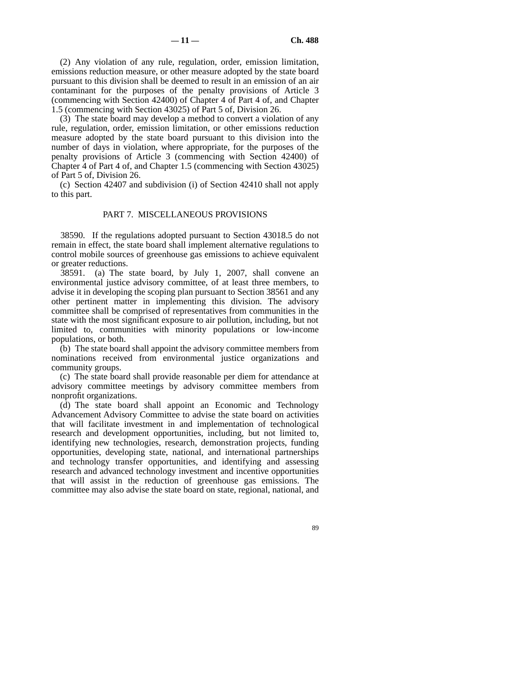(2) Any violation of any rule, regulation, order, emission limitation, emissions reduction measure, or other measure adopted by the state board pursuant to this division shall be deemed to result in an emission of an air contaminant for the purposes of the penalty provisions of Article 3 (commencing with Section 42400) of Chapter 4 of Part 4 of, and Chapter 1.5 (commencing with Section 43025) of Part 5 of, Division 26.

(3) The state board may develop a method to convert a violation of any rule, regulation, order, emission limitation, or other emissions reduction measure adopted by the state board pursuant to this division into the number of days in violation, where appropriate, for the purposes of the penalty provisions of Article 3 (commencing with Section 42400) of Chapter 4 of Part 4 of, and Chapter 1.5 (commencing with Section 43025) of Part 5 of, Division 26.

(c) Section 42407 and subdivision (i) of Section 42410 shall not apply to this part.

### PART 7. MISCELLANEOUS PROVISIONS

38590. If the regulations adopted pursuant to Section 43018.5 do not remain in effect, the state board shall implement alternative regulations to control mobile sources of greenhouse gas emissions to achieve equivalent or greater reductions.

38591. (a) The state board, by July 1, 2007, shall convene an environmental justice advisory committee, of at least three members, to advise it in developing the scoping plan pursuant to Section 38561 and any other pertinent matter in implementing this division. The advisory committee shall be comprised of representatives from communities in the state with the most significant exposure to air pollution, including, but not limited to, communities with minority populations or low-income populations, or both.

(b) The state board shall appoint the advisory committee members from nominations received from environmental justice organizations and community groups.

(c) The state board shall provide reasonable per diem for attendance at advisory committee meetings by advisory committee members from nonprofit organizations.

(d) The state board shall appoint an Economic and Technology Advancement Advisory Committee to advise the state board on activities that will facilitate investment in and implementation of technological research and development opportunities, including, but not limited to, identifying new technologies, research, demonstration projects, funding opportunities, developing state, national, and international partnerships and technology transfer opportunities, and identifying and assessing research and advanced technology investment and incentive opportunities that will assist in the reduction of greenhouse gas emissions. The committee may also advise the state board on state, regional, national, and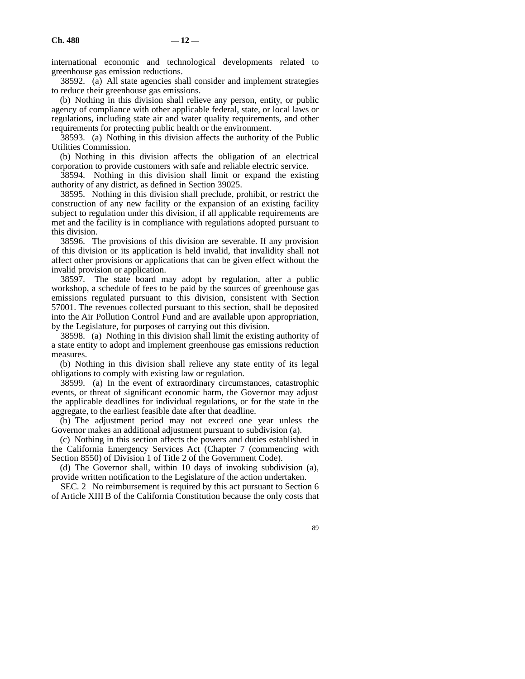international economic and technological developments related to greenhouse gas emission reductions.

38592. (a) All state agencies shall consider and implement strategies to reduce their greenhouse gas emissions.

(b) Nothing in this division shall relieve any person, entity, or public agency of compliance with other applicable federal, state, or local laws or regulations, including state air and water quality requirements, and other requirements for protecting public health or the environment.

38593. (a) Nothing in this division affects the authority of the Public Utilities Commission.

(b) Nothing in this division affects the obligation of an electrical corporation to provide customers with safe and reliable electric service.

38594. Nothing in this division shall limit or expand the existing authority of any district, as defined in Section 39025.

38595. Nothing in this division shall preclude, prohibit, or restrict the construction of any new facility or the expansion of an existing facility subject to regulation under this division, if all applicable requirements are met and the facility is in compliance with regulations adopted pursuant to this division.

38596. The provisions of this division are severable. If any provision of this division or its application is held invalid, that invalidity shall not affect other provisions or applications that can be given effect without the invalid provision or application.

38597. The state board may adopt by regulation, after a public workshop, a schedule of fees to be paid by the sources of greenhouse gas emissions regulated pursuant to this division, consistent with Section 57001. The revenues collected pursuant to this section, shall be deposited into the Air Pollution Control Fund and are available upon appropriation, by the Legislature, for purposes of carrying out this division.

38598. (a) Nothing in this division shall limit the existing authority of a state entity to adopt and implement greenhouse gas emissions reduction measures.

(b) Nothing in this division shall relieve any state entity of its legal obligations to comply with existing law or regulation.

38599. (a) In the event of extraordinary circumstances, catastrophic events, or threat of significant economic harm, the Governor may adjust the applicable deadlines for individual regulations, or for the state in the aggregate, to the earliest feasible date after that deadline.

(b) The adjustment period may not exceed one year unless the Governor makes an additional adjustment pursuant to subdivision (a).

(c) Nothing in this section affects the powers and duties established in the California Emergency Services Act (Chapter 7 (commencing with Section 8550) of Division 1 of Title 2 of the Government Code).

(d) The Governor shall, within 10 days of invoking subdivision (a), provide written notification to the Legislature of the action undertaken.

SEC. 2 No reimbursement is required by this act pursuant to Section 6 of Article XIII B of the California Constitution because the only costs that